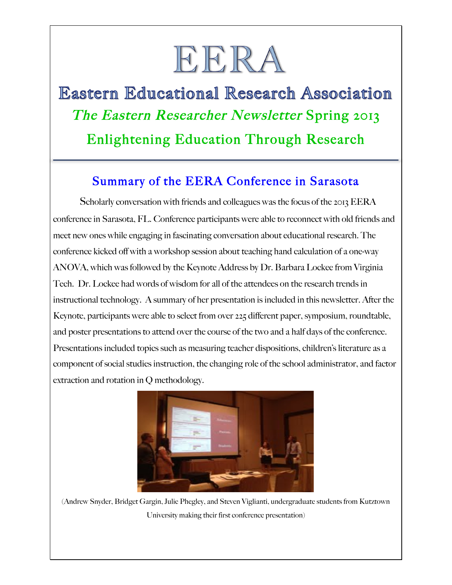# EERA

## **Eastern Educational Research Association** The Eastern Researcher Newsletter Spring 2013 Enlightening Education Through Research

#### Summary of the EERA Conference in Sarasota

j

Scholarly conversation with friends and colleagues was the focus of the 2013 EERA conference in Sarasota, FL. Conference participants were able to reconnect with old friends and meet new ones while engaging in fascinating conversation about educational research. The conference kicked off with a workshop session about teaching hand calculation of a one-way ANOVA, which was followed by the Keynote Address by Dr. Barbara Lockee from Virginia Tech. Dr. Lockee had words of wisdom for all of the attendees on the research trends in instructional technology. A summary of her presentation is included in this newsletter. After the Keynote, participants were able to select from over 225 different paper, symposium, roundtable, and poster presentations to attend over the course of the two and a half days of the conference. Presentations included topics such as measuring teacher dispositions, children's literature as a component of social studies instruction, the changing role of the school administrator, and factor extraction and rotation in Q methodology.



(Andrew Snyder, Bridget Gargin, Julie Phegley, and Steven Viglianti, undergraduate students from Kutztown University making their first conference presentation)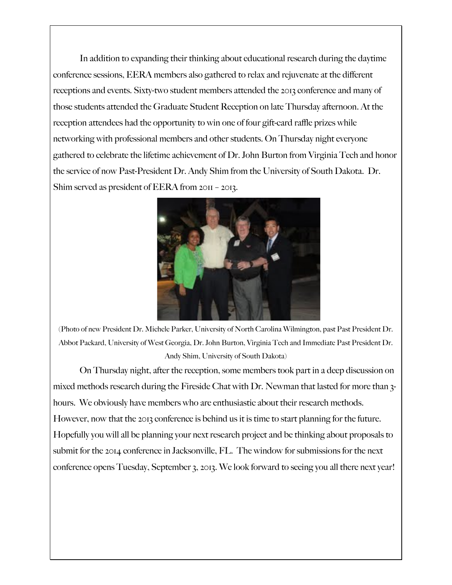In addition to expanding their thinking about educational research during the daytime conference sessions, EERA members also gathered to relax and rejuvenate at the different receptions and events. Sixty-two student members attended the 2013 conference and many of those students attended the Graduate Student Reception on late Thursday afternoon. At the reception attendees had the opportunity to win one of four gift-card raffle prizes while networking with professional members and other students. On Thursday night everyone gathered to celebrate the lifetime achievement of Dr. John Burton from Virginia Tech and honor the service of now Past-President Dr. Andy Shim from the University of South Dakota. Dr. Shim served as president of EERA from 2011 – 2013.



(Photo of new President Dr. Michele Parker, University of North Carolina Wilmington, past Past President Dr. Abbot Packard, University of West Georgia, Dr. John Burton, Virginia Tech and Immediate Past President Dr. Andy Shim, University of South Dakota)

On Thursday night, after the reception, some members took part in a deep discussion on mixed methods research during the Fireside Chat with Dr. Newman that lasted for more than 3 hours. We obviously have members who are enthusiastic about their research methods. However, now that the 2013 conference is behind us it is time to start planning for the future. Hopefully you will all be planning your next research project and be thinking about proposals to submit for the 2014 conference in Jacksonville, FL. The window for submissions for the next conference opens Tuesday, September 3, 2013. We look forward to seeing you all there next year!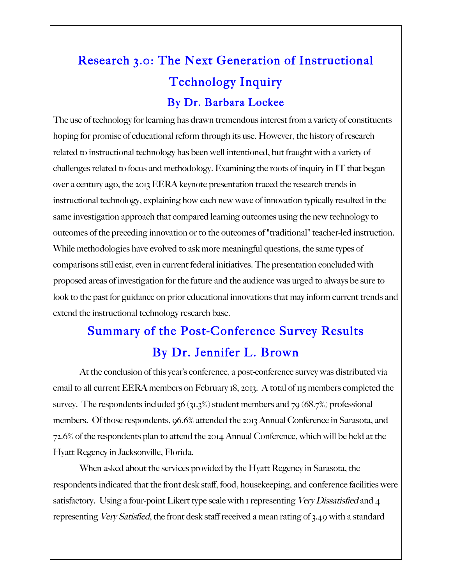## Research 3.0: The Next Generation of Instructional Technology Inquiry By Dr. Barbara Lockee

The use of technology for learning has drawn tremendous interest from a variety of constituents hoping for promise of educational reform through its use. However, the history of research related to instructional technology has been well intentioned, but fraught with a variety of challenges related to focus and methodology. Examining the roots of inquiry in IT that began over a century ago, the 2013 EERA keynote presentation traced the research trends in instructional technology, explaining how each new wave of innovation typically resulted in the same investigation approach that compared learning outcomes using the new technology to outcomes of the preceding innovation or to the outcomes of "traditional" teacher-led instruction. While methodologies have evolved to ask more meaningful questions, the same types of comparisons still exist, even in current federal initiatives. The presentation concluded with proposed areas of investigation for the future and the audience was urged to always be sure to look to the past for guidance on prior educational innovations that may inform current trends and extend the instructional technology research base.

### Summary of the Post-Conference Survey Results By Dr. Jennifer L. Brown

At the conclusion of this year's conference, a post-conference survey was distributed via email to all current EERA members on February 18, 2013. A total of 115 members completed the survey. The respondents included  $36 \times 31.3\%$  student members and  $79 \times 68.7\%$  professional members. Of those respondents, 96.6% attended the 2013 Annual Conference in Sarasota, and 72.6% of the respondents plan to attend the 2014 Annual Conference, which will be held at the Hyatt Regency in Jacksonville, Florida.

When asked about the services provided by the Hyatt Regency in Sarasota, the respondents indicated that the front desk staff, food, housekeeping, and conference facilities were satisfactory. Using a four-point Likert type scale with 1 representing Very Dissatisfied and 4 representing Very Satisfied, the front desk staff received a mean rating of 3.49 with a standard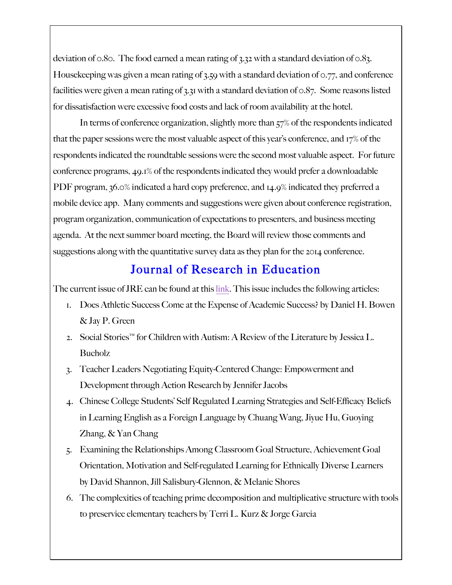deviation of 0.80. The food earned a mean rating of 3.32 with a standard deviation of 0.83. Housekeeping was given a mean rating of 3.59 with a standard deviation of 0.77, and conference facilities were given a mean rating of 3.31 with a standard deviation of 0.87. Some reasons listed for dissatisfaction were excessive food costs and lack of room availability at the hotel.

In terms of conference organization, slightly more than 57% of the respondents indicated that the paper sessions were the most valuable aspect of this year's conference, and 17% of the respondents indicated the roundtable sessions were the second most valuable aspect. For future conference programs, 49.1% of the respondents indicated they would prefer a downloadable PDF program, 36.0% indicated a hard copy preference, and 14.9% indicated they preferred a mobile device app. Many comments and suggestions were given about conference registration, program organization, communication of expectations to presenters, and business meeting agenda. At the next summer board meeting, the Board will review those comments and suggestions along with the quantitative survey data as they plan for the 2014 conference.

#### Journal of Research in Education

The current issue of JRE can be found at this link. This issue includes the following articles:

- 1. Does Athletic Success Come at the Expense of Academic Success? by Daniel H. Bowen & Jay P. Green
- 2. Social Stories™ for Children with Autism: A Review of the Literature by Jessica L. Bucholz
- 3. Teacher Leaders Negotiating Equity-Centered Change: Empowerment and Development through Action Research by Jennifer Jacobs
- 4. Chinese College Students' Self Regulated Learning Strategies and Self-Efficacy Beliefs in Learning English as a Foreign Language by Chuang Wang, Jiyue Hu, Guoying Zhang, & Yan Chang
- 5. Examining the Relationships Among Classroom Goal Structure, Achievement Goal Orientation, Motivation and Self-regulated Learning for Ethnically Diverse Learners by David Shannon, Jill Salisbury-Glennon, & Melanie Shores
- 6. The complexities of teaching prime decomposition and multiplicative structure with tools to preservice elementary teachers by Terri L. Kurz & Jorge Garcia